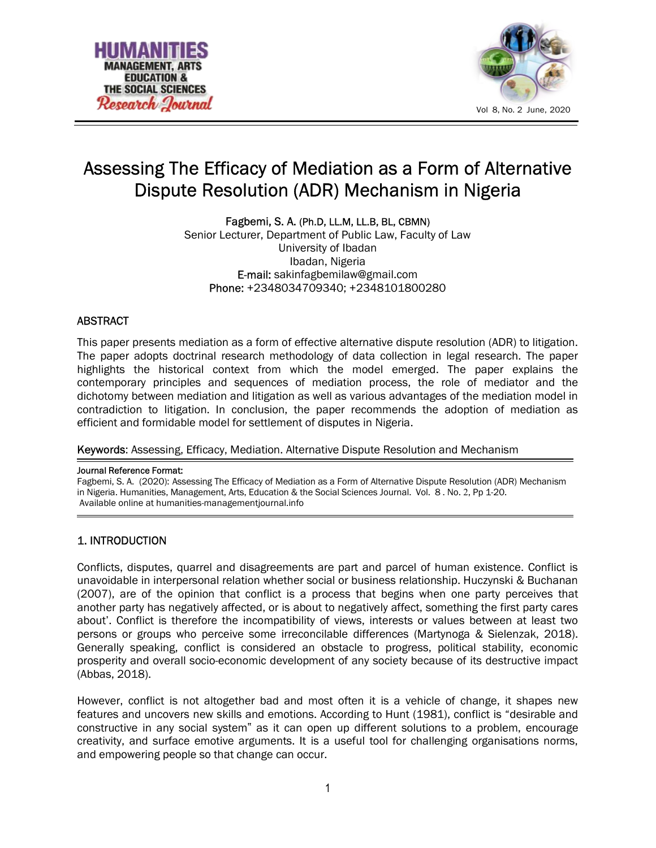



# Assessing The Efficacy of Mediation as a Form of Alternative Dispute Resolution (ADR) Mechanism in Nigeria

Fagbemi, S. A. (Ph.D, LL.M, LL.B, BL, CBMN) Senior Lecturer, Department of Public Law, Faculty of Law University of Ibadan Ibadan, Nigeria E-mail: sakinfagbemilaw@gmail.com Phone: +2348034709340; +2348101800280

# **ABSTRACT**

This paper presents mediation as a form of effective alternative dispute resolution (ADR) to litigation. The paper adopts doctrinal research methodology of data collection in legal research. The paper highlights the historical context from which the model emerged. The paper explains the contemporary principles and sequences of mediation process, the role of mediator and the dichotomy between mediation and litigation as well as various advantages of the mediation model in contradiction to litigation. In conclusion, the paper recommends the adoption of mediation as efficient and formidable model for settlement of disputes in Nigeria.

Keywords: Assessing, Efficacy, Mediation. Alternative Dispute Resolution and Mechanism

#### Journal Reference Format:

Fagbemi, S. A. (2020): Assessing The Efficacy of Mediation as a Form of Alternative Dispute Resolution (ADR) Mechanism in Nigeria. Humanities, Management, Arts, Education & the Social Sciences Journal. Vol. 8 . No. 2, Pp 1-20. Available online at humanities-managementjournal.info

# 1. INTRODUCTION

Conflicts, disputes, quarrel and disagreements are part and parcel of human existence. Conflict is unavoidable in interpersonal relation whether social or business relationship. Huczynski & Buchanan (2007), are of the opinion that conflict is a process that begins when one party perceives that another party has negatively affected, or is about to negatively affect, something the first party cares about'. Conflict is therefore the incompatibility of views, interests or values between at least two persons or groups who perceive some irreconcilable differences (Martynoga & Sielenzak, 2018). Generally speaking, conflict is considered an obstacle to progress, political stability, economic prosperity and overall socio-economic development of any society because of its destructive impact (Abbas, 2018).

However, conflict is not altogether bad and most often it is a vehicle of change, it shapes new features and uncovers new skills and emotions. According to Hunt (1981), conflict is "desirable and constructive in any social system" as it can open up different solutions to a problem, encourage creativity, and surface emotive arguments. It is a useful tool for challenging organisations norms, and empowering people so that change can occur.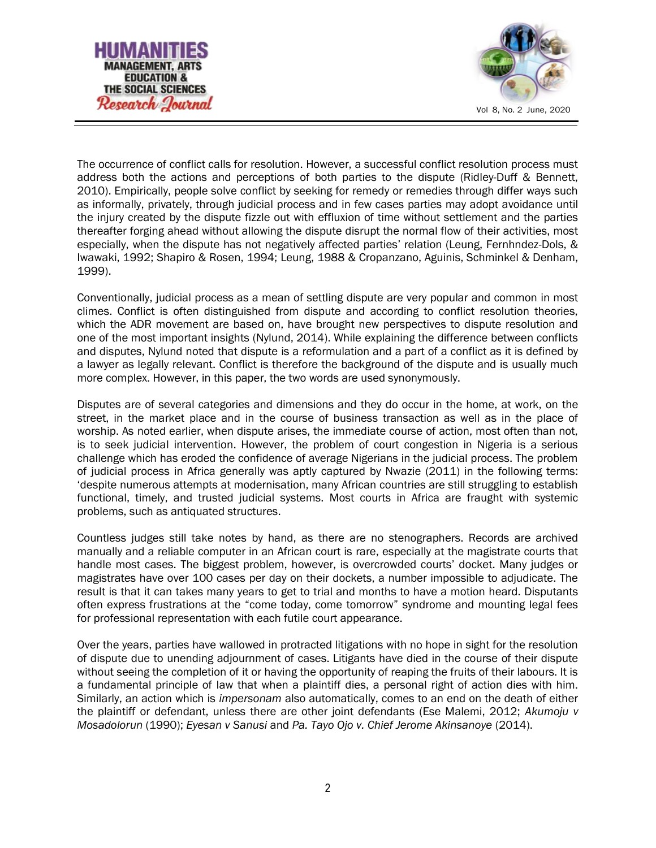



The occurrence of conflict calls for resolution. However, a successful conflict resolution process must address both the actions and perceptions of both parties to the dispute (Ridley-Duff & Bennett, 2010). Empirically, people solve conflict by seeking for remedy or remedies through differ ways such as informally, privately, through judicial process and in few cases parties may adopt avoidance until the injury created by the dispute fizzle out with effluxion of time without settlement and the parties thereafter forging ahead without allowing the dispute disrupt the normal flow of their activities, most especially, when the dispute has not negatively affected parties' relation (Leung, Fernhndez-Dols, & Iwawaki, 1992; Shapiro & Rosen, 1994; Leung, 1988 & Cropanzano, Aguinis, Schminkel & Denham, 1999).

Conventionally, judicial process as a mean of settling dispute are very popular and common in most climes. Conflict is often distinguished from dispute and according to conflict resolution theories, which the ADR movement are based on, have brought new perspectives to dispute resolution and one of the most important insights (Nylund, 2014). While explaining the difference between conflicts and disputes, Nylund noted that dispute is a reformulation and a part of a conflict as it is defined by a lawyer as legally relevant. Conflict is therefore the background of the dispute and is usually much more complex. However, in this paper, the two words are used synonymously.

Disputes are of several categories and dimensions and they do occur in the home, at work, on the street, in the market place and in the course of business transaction as well as in the place of worship. As noted earlier, when dispute arises, the immediate course of action, most often than not, is to seek judicial intervention. However, the problem of court congestion in Nigeria is a serious challenge which has eroded the confidence of average Nigerians in the judicial process. The problem of judicial process in Africa generally was aptly captured by Nwazie (2011) in the following terms: 'despite numerous attempts at modernisation, many African countries are still struggling to establish functional, timely, and trusted judicial systems. Most courts in Africa are fraught with systemic problems, such as antiquated structures.

Countless judges still take notes by hand, as there are no stenographers. Records are archived manually and a reliable computer in an African court is rare, especially at the magistrate courts that handle most cases. The biggest problem, however, is overcrowded courts' docket. Many judges or magistrates have over 100 cases per day on their dockets, a number impossible to adjudicate. The result is that it can takes many years to get to trial and months to have a motion heard. Disputants often express frustrations at the "come today, come tomorrow" syndrome and mounting legal fees for professional representation with each futile court appearance.

Over the years, parties have wallowed in protracted litigations with no hope in sight for the resolution of dispute due to unending adjournment of cases. Litigants have died in the course of their dispute without seeing the completion of it or having the opportunity of reaping the fruits of their labours. It is a fundamental principle of law that when a plaintiff dies, a personal right of action dies with him. Similarly, an action which is impersonam also automatically, comes to an end on the death of either the plaintiff or defendant, unless there are other joint defendants (Ese Malemi, 2012; Akumoju v Mosadolorun (1990); Eyesan v Sanusi and Pa. Tayo Ojo v. Chief Jerome Akinsanoye (2014).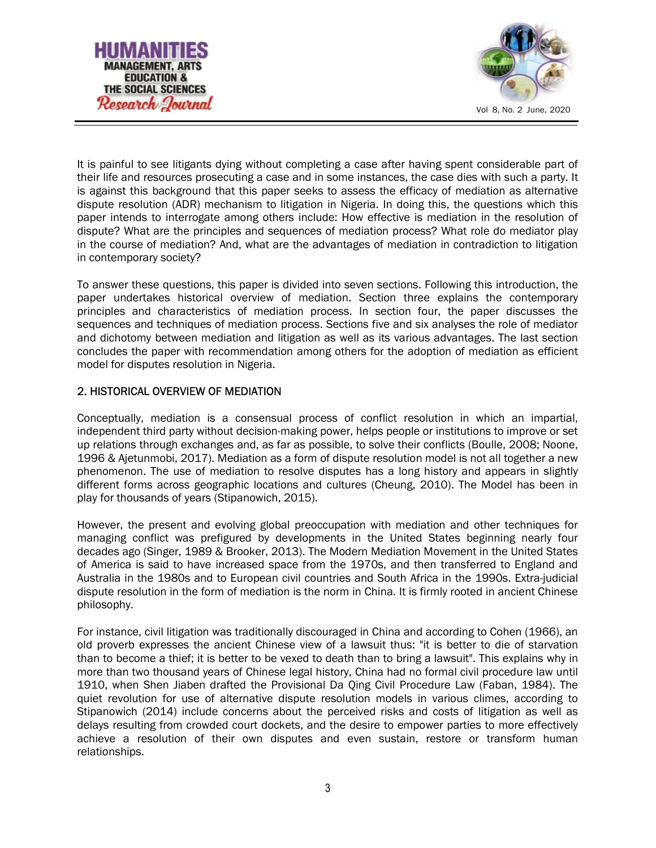



It is painful to see litigants dying without completing a case after having spent considerable part of their life and resources prosecuting a case and in some instances, the case dies with such a party. It is against this background that this paper seeks to assess the efficacy of mediation as alternative dispute resolution (ADR) mechanism to litigation in Nigeria. In doing this, the questions which this paper intends to interrogate among others include: How effective is mediation in the resolution of dispute? What are the principles and sequences of mediation process? What role do mediator play in the course of mediation? And, what are the advantages of mediation in contradiction to litigation in contemporary society?

To answer these questions, this paper is divided into seven sections. Following this introduction, the paper undertakes historical overview of mediation. Section three explains the contemporary principles and characteristics of mediation process. In section four, the paper discusses the sequences and techniques of mediation process. Sections five and six analyses the role of mediator and dichotomy between mediation and litigation as well as its various advantages. The last section concludes the paper with recommendation among others for the adoption of mediation as efficient model for disputes resolution in Nigeria.

# 2. HISTORICAL OVERVIEW OF MEDIATION

Conceptually, mediation is a consensual process of conflict resolution in which an impartial, independent third party without decision-making power, helps people or institutions to improve or set up relations through exchanges and, as far as possible, to solve their conflicts (Boulle, 2008; Noone, 1996 & Ajetunmobi, 2017). Mediation as a form of dispute resolution model is not all together a new phenomenon. The use of mediation to resolve disputes has a long history and appears in slightly different forms across geographic locations and cultures (Cheung, 2010). The Model has been in play for thousands of years (Stipanowich, 2015).

However, the present and evolving global preoccupation with mediation and other techniques for managing conflict was prefigured by developments in the United States beginning nearly four decades ago (Singer, 1989 & Brooker, 2013). The Modern Mediation Movement in the United States of America is said to have increased space from the 1970s, and then transferred to England and Australia in the 1980s and to European civil countries and South Africa in the 1990s. Extra-judicial dispute resolution in the form of mediation is the norm in China. It is firmly rooted in ancient Chinese philosophy.

For instance, civil litigation was traditionally discouraged in China and according to Cohen (1966), an old proverb expresses the ancient Chinese view of a lawsuit thus: "it is better to die of starvation than to become a thief; it is better to be vexed to death than to bring a lawsuit". This explains why in more than two thousand years of Chinese legal history, China had no formal civil procedure law until 1910, when Shen Jiaben drafted the Provisional Da Qing Civil Procedure Law (Faban, 1984). The quiet revolution for use of alternative dispute resolution models in various climes, according to Stipanowich (2014) include concerns about the perceived risks and costs of litigation as well as delays resulting from crowded court dockets, and the desire to empower parties to more effectively achieve a resolution of their own disputes and even sustain, restore or transform human relationships.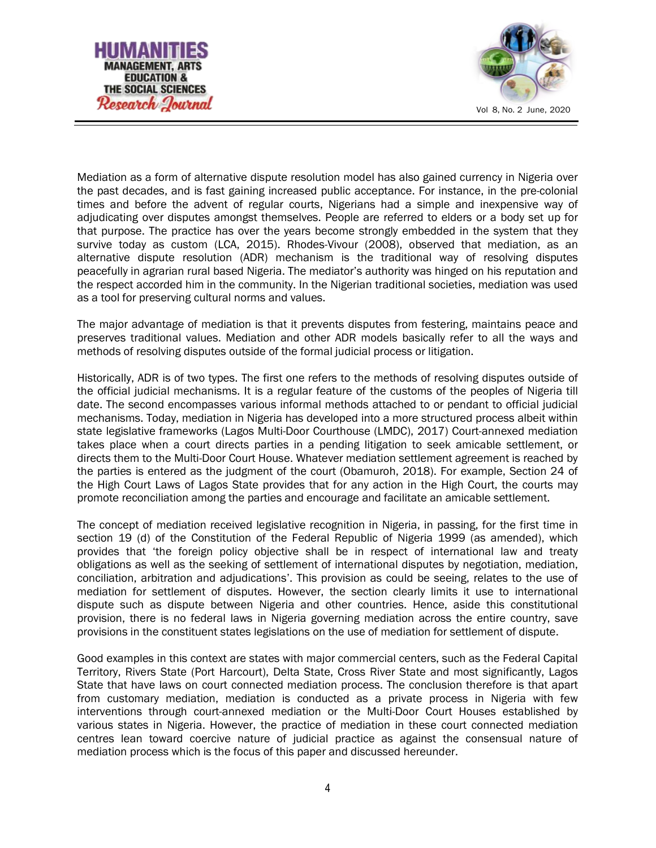



Mediation as a form of alternative dispute resolution model has also gained currency in Nigeria over the past decades, and is fast gaining increased public acceptance. For instance, in the pre-colonial times and before the advent of regular courts, Nigerians had a simple and inexpensive way of adjudicating over disputes amongst themselves. People are referred to elders or a body set up for that purpose. The practice has over the years become strongly embedded in the system that they survive today as custom (LCA, 2015). Rhodes-Vivour (2008), observed that mediation, as an alternative dispute resolution (ADR) mechanism is the traditional way of resolving disputes peacefully in agrarian rural based Nigeria. The mediator's authority was hinged on his reputation and the respect accorded him in the community. In the Nigerian traditional societies, mediation was used as a tool for preserving cultural norms and values.

The major advantage of mediation is that it prevents disputes from festering, maintains peace and preserves traditional values. Mediation and other ADR models basically refer to all the ways and methods of resolving disputes outside of the formal judicial process or litigation.

Historically, ADR is of two types. The first one refers to the methods of resolving disputes outside of the official judicial mechanisms. It is a regular feature of the customs of the peoples of Nigeria till date. The second encompasses various informal methods attached to or pendant to official judicial mechanisms. Today, mediation in Nigeria has developed into a more structured process albeit within state legislative frameworks (Lagos Multi-Door Courthouse (LMDC), 2017) Court-annexed mediation takes place when a court directs parties in a pending litigation to seek amicable settlement, or directs them to the Multi-Door Court House. Whatever mediation settlement agreement is reached by the parties is entered as the judgment of the court (Obamuroh, 2018). For example, Section 24 of the High Court Laws of Lagos State provides that for any action in the High Court, the courts may promote reconciliation among the parties and encourage and facilitate an amicable settlement.

The concept of mediation received legislative recognition in Nigeria, in passing, for the first time in section 19 (d) of the Constitution of the Federal Republic of Nigeria 1999 (as amended), which provides that 'the foreign policy objective shall be in respect of international law and treaty obligations as well as the seeking of settlement of international disputes by negotiation, mediation, conciliation, arbitration and adjudications'. This provision as could be seeing, relates to the use of mediation for settlement of disputes. However, the section clearly limits it use to international dispute such as dispute between Nigeria and other countries. Hence, aside this constitutional provision, there is no federal laws in Nigeria governing mediation across the entire country, save provisions in the constituent states legislations on the use of mediation for settlement of dispute.

Good examples in this context are states with major commercial centers, such as the Federal Capital Territory, Rivers State (Port Harcourt), Delta State, Cross River State and most significantly, Lagos State that have laws on court connected mediation process. The conclusion therefore is that apart from customary mediation, mediation is conducted as a private process in Nigeria with few interventions through court-annexed mediation or the Multi-Door Court Houses established by various states in Nigeria. However, the practice of mediation in these court connected mediation centres lean toward coercive nature of judicial practice as against the consensual nature of mediation process which is the focus of this paper and discussed hereunder.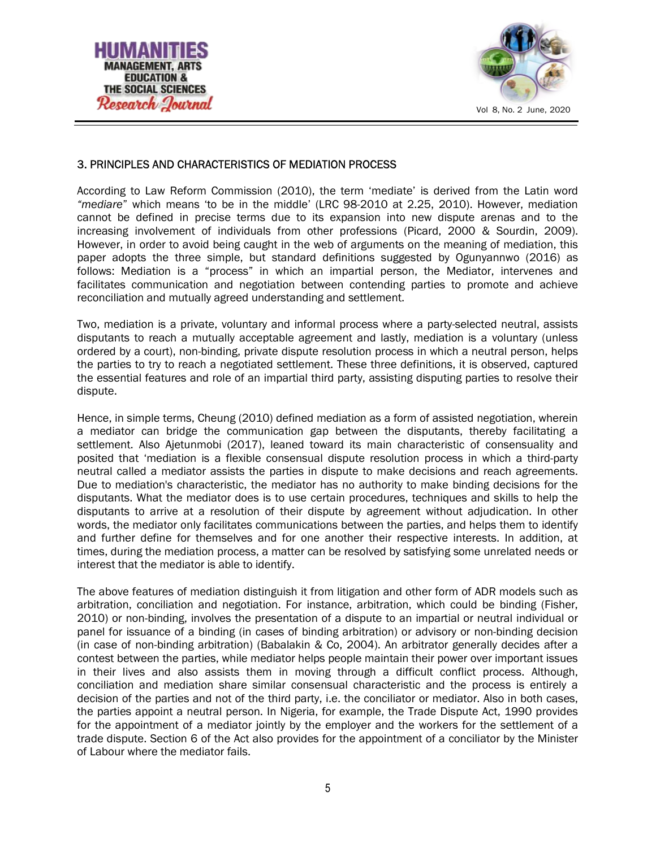



## 3. PRINCIPLES AND CHARACTERISTICS OF MEDIATION PROCESS

According to Law Reform Commission (2010), the term 'mediate' is derived from the Latin word "mediare" which means 'to be in the middle' (LRC 98-2010 at 2.25, 2010). However, mediation cannot be defined in precise terms due to its expansion into new dispute arenas and to the increasing involvement of individuals from other professions (Picard, 2000 & Sourdin, 2009). However, in order to avoid being caught in the web of arguments on the meaning of mediation, this paper adopts the three simple, but standard definitions suggested by Ogunyannwo (2016) as follows: Mediation is a "process" in which an impartial person, the Mediator, intervenes and facilitates communication and negotiation between contending parties to promote and achieve reconciliation and mutually agreed understanding and settlement.

Two, mediation is a private, voluntary and informal process where a party-selected neutral, assists disputants to reach a mutually acceptable agreement and lastly, mediation is a voluntary (unless ordered by a court), non-binding, private dispute resolution process in which a neutral person, helps the parties to try to reach a negotiated settlement. These three definitions, it is observed, captured the essential features and role of an impartial third party, assisting disputing parties to resolve their dispute.

Hence, in simple terms, Cheung (2010) defined mediation as a form of assisted negotiation, wherein a mediator can bridge the communication gap between the disputants, thereby facilitating a settlement. Also Ajetunmobi (2017), leaned toward its main characteristic of consensuality and posited that 'mediation is a flexible consensual dispute resolution process in which a third-party neutral called a mediator assists the parties in dispute to make decisions and reach agreements. Due to mediation's characteristic, the mediator has no authority to make binding decisions for the disputants. What the mediator does is to use certain procedures, techniques and skills to help the disputants to arrive at a resolution of their dispute by agreement without adjudication. In other words, the mediator only facilitates communications between the parties, and helps them to identify and further define for themselves and for one another their respective interests. In addition, at times, during the mediation process, a matter can be resolved by satisfying some unrelated needs or interest that the mediator is able to identify.

The above features of mediation distinguish it from litigation and other form of ADR models such as arbitration, conciliation and negotiation. For instance, arbitration, which could be binding (Fisher, 2010) or non-binding, involves the presentation of a dispute to an impartial or neutral individual or panel for issuance of a binding (in cases of binding arbitration) or advisory or non-binding decision (in case of non-binding arbitration) (Babalakin & Co, 2004). An arbitrator generally decides after a contest between the parties, while mediator helps people maintain their power over important issues in their lives and also assists them in moving through a difficult conflict process. Although, conciliation and mediation share similar consensual characteristic and the process is entirely a decision of the parties and not of the third party, i.e. the conciliator or mediator. Also in both cases, the parties appoint a neutral person. In Nigeria, for example, the Trade Dispute Act, 1990 provides for the appointment of a mediator jointly by the employer and the workers for the settlement of a trade dispute. Section 6 of the Act also provides for the appointment of a conciliator by the Minister of Labour where the mediator fails.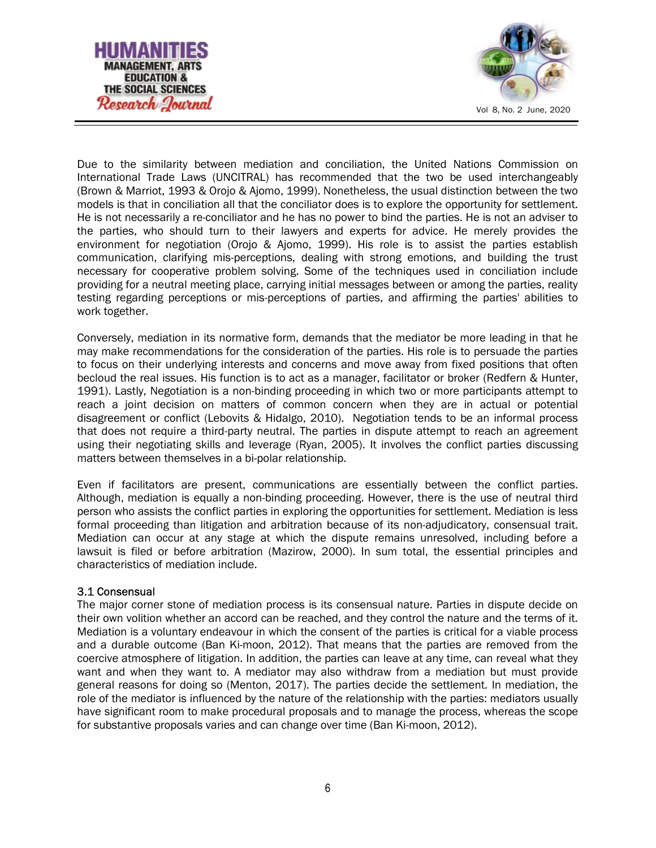



Due to the similarity between mediation and conciliation, the United Nations Commission on International Trade Laws (UNCITRAL) has recommended that the two be used interchangeably (Brown & Marriot, 1993 & Orojo & Ajomo, 1999). Nonetheless, the usual distinction between the two models is that in conciliation all that the conciliator does is to explore the opportunity for settlement. He is not necessarily a re-conciliator and he has no power to bind the parties. He is not an adviser to the parties, who should turn to their lawyers and experts for advice. He merely provides the environment for negotiation (Orojo & Ajomo, 1999). His role is to assist the parties establish communication, clarifying mis-perceptions, dealing with strong emotions, and building the trust necessary for cooperative problem solving. Some of the techniques used in conciliation include providing for a neutral meeting place, carrying initial messages between or among the parties, reality testing regarding perceptions or mis-perceptions of parties, and affirming the parties' abilities to work together.

Conversely, mediation in its normative form, demands that the mediator be more leading in that he may make recommendations for the consideration of the parties. His role is to persuade the parties to focus on their underlying interests and concerns and move away from fixed positions that often becloud the real issues. His function is to act as a manager, facilitator or broker (Redfern & Hunter, 1991). Lastly, Negotiation is a non-binding proceeding in which two or more participants attempt to reach a joint decision on matters of common concern when they are in actual or potential disagreement or conflict (Lebovits & Hidalgo, 2010). Negotiation tends to be an informal process that does not require a third-party neutral. The parties in dispute attempt to reach an agreement using their negotiating skills and leverage (Ryan, 2005). It involves the conflict parties discussing matters between themselves in a bi-polar relationship.

Even if facilitators are present, communications are essentially between the conflict parties. Although, mediation is equally a non-binding proceeding. However, there is the use of neutral third person who assists the conflict parties in exploring the opportunities for settlement. Mediation is less formal proceeding than litigation and arbitration because of its non-adjudicatory, consensual trait. Mediation can occur at any stage at which the dispute remains unresolved, including before a lawsuit is filed or before arbitration (Mazirow, 2000). In sum total, the essential principles and characteristics of mediation include.

#### 3.1 Consensual

The major corner stone of mediation process is its consensual nature. Parties in dispute decide on their own volition whether an accord can be reached, and they control the nature and the terms of it. Mediation is a voluntary endeavour in which the consent of the parties is critical for a viable process and a durable outcome (Ban Ki-moon, 2012). That means that the parties are removed from the coercive atmosphere of litigation. In addition, the parties can leave at any time, can reveal what they want and when they want to. A mediator may also withdraw from a mediation but must provide general reasons for doing so (Menton, 2017). The parties decide the settlement. In mediation, the role of the mediator is influenced by the nature of the relationship with the parties: mediators usually have significant room to make procedural proposals and to manage the process, whereas the scope for substantive proposals varies and can change over time (Ban Ki-moon, 2012).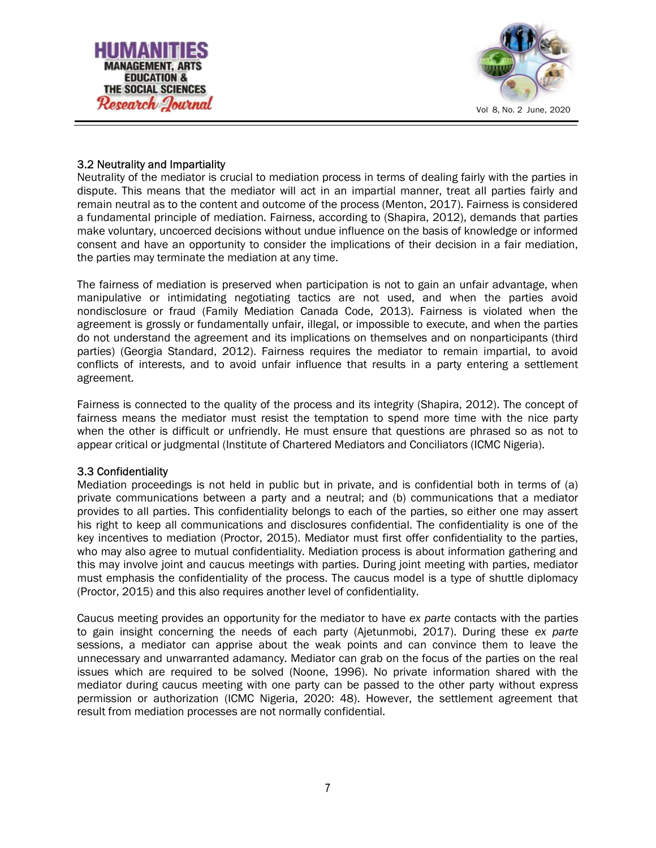



## 3.2 Neutrality and Impartiality

Neutrality of the mediator is crucial to mediation process in terms of dealing fairly with the parties in dispute. This means that the mediator will act in an impartial manner, treat all parties fairly and remain neutral as to the content and outcome of the process (Menton, 2017). Fairness is considered a fundamental principle of mediation. Fairness, according to (Shapira, 2012), demands that parties make voluntary, uncoerced decisions without undue influence on the basis of knowledge or informed consent and have an opportunity to consider the implications of their decision in a fair mediation, the parties may terminate the mediation at any time.

The fairness of mediation is preserved when participation is not to gain an unfair advantage, when manipulative or intimidating negotiating tactics are not used, and when the parties avoid nondisclosure or fraud (Family Mediation Canada Code, 2013). Fairness is violated when the agreement is grossly or fundamentally unfair, illegal, or impossible to execute, and when the parties do not understand the agreement and its implications on themselves and on nonparticipants (third parties) (Georgia Standard, 2012). Fairness requires the mediator to remain impartial, to avoid conflicts of interests, and to avoid unfair influence that results in a party entering a settlement agreement.

Fairness is connected to the quality of the process and its integrity (Shapira, 2012). The concept of fairness means the mediator must resist the temptation to spend more time with the nice party when the other is difficult or unfriendly. He must ensure that questions are phrased so as not to appear critical or judgmental (Institute of Chartered Mediators and Conciliators (ICMC Nigeria).

#### 3.3 Confidentiality

Mediation proceedings is not held in public but in private, and is confidential both in terms of (a) private communications between a party and a neutral; and (b) communications that a mediator provides to all parties. This confidentiality belongs to each of the parties, so either one may assert his right to keep all communications and disclosures confidential. The confidentiality is one of the key incentives to mediation (Proctor, 2015). Mediator must first offer confidentiality to the parties, who may also agree to mutual confidentiality. Mediation process is about information gathering and this may involve joint and caucus meetings with parties. During joint meeting with parties, mediator must emphasis the confidentiality of the process. The caucus model is a type of shuttle diplomacy (Proctor, 2015) and this also requires another level of confidentiality.

Caucus meeting provides an opportunity for the mediator to have ex parte contacts with the parties to gain insight concerning the needs of each party (Ajetunmobi, 2017). During these ex parte sessions, a mediator can apprise about the weak points and can convince them to leave the unnecessary and unwarranted adamancy. Mediator can grab on the focus of the parties on the real issues which are required to be solved (Noone, 1996). No private information shared with the mediator during caucus meeting with one party can be passed to the other party without express permission or authorization (ICMC Nigeria, 2020: 48). However, the settlement agreement that result from mediation processes are not normally confidential.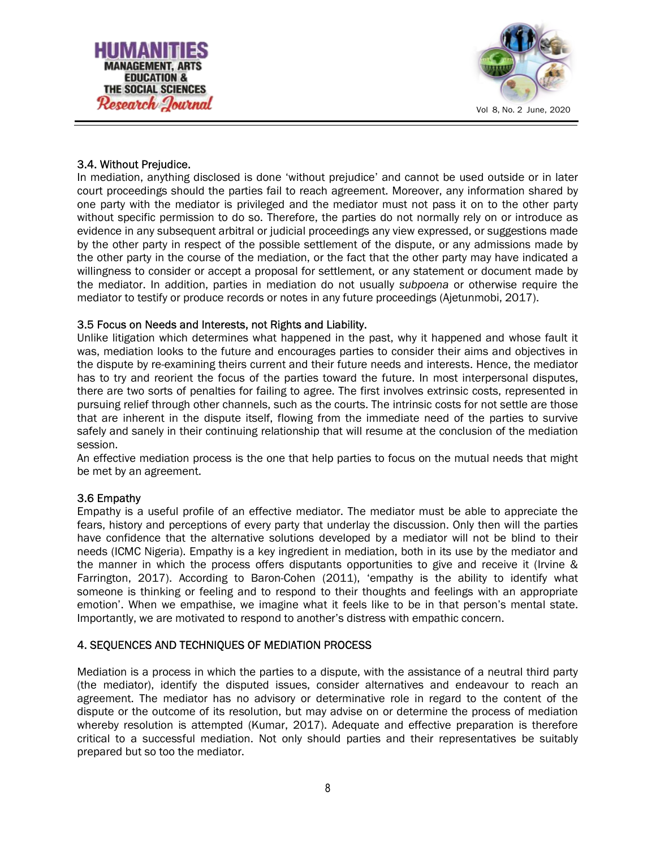



# 3.4. Without Prejudice.

In mediation, anything disclosed is done 'without prejudice' and cannot be used outside or in later court proceedings should the parties fail to reach agreement. Moreover, any information shared by one party with the mediator is privileged and the mediator must not pass it on to the other party without specific permission to do so. Therefore, the parties do not normally rely on or introduce as evidence in any subsequent arbitral or judicial proceedings any view expressed, or suggestions made by the other party in respect of the possible settlement of the dispute, or any admissions made by the other party in the course of the mediation, or the fact that the other party may have indicated a willingness to consider or accept a proposal for settlement, or any statement or document made by the mediator. In addition, parties in mediation do not usually subpoena or otherwise require the mediator to testify or produce records or notes in any future proceedings (Ajetunmobi, 2017).

## 3.5 Focus on Needs and Interests, not Rights and Liability.

Unlike litigation which determines what happened in the past, why it happened and whose fault it was, mediation looks to the future and encourages parties to consider their aims and objectives in the dispute by re-examining theirs current and their future needs and interests. Hence, the mediator has to try and reorient the focus of the parties toward the future. In most interpersonal disputes, there are two sorts of penalties for failing to agree. The first involves extrinsic costs, represented in pursuing relief through other channels, such as the courts. The intrinsic costs for not settle are those that are inherent in the dispute itself, flowing from the immediate need of the parties to survive safely and sanely in their continuing relationship that will resume at the conclusion of the mediation session.

An effective mediation process is the one that help parties to focus on the mutual needs that might be met by an agreement.

#### 3.6 Empathy

Empathy is a useful profile of an effective mediator. The mediator must be able to appreciate the fears, history and perceptions of every party that underlay the discussion. Only then will the parties have confidence that the alternative solutions developed by a mediator will not be blind to their needs (ICMC Nigeria). Empathy is a key ingredient in mediation, both in its use by the mediator and the manner in which the process offers disputants opportunities to give and receive it (Irvine & Farrington, 2017). According to Baron-Cohen (2011), 'empathy is the ability to identify what someone is thinking or feeling and to respond to their thoughts and feelings with an appropriate emotion'. When we empathise, we imagine what it feels like to be in that person's mental state. Importantly, we are motivated to respond to another's distress with empathic concern.

# 4. SEQUENCES AND TECHNIQUES OF MEDIATION PROCESS

Mediation is a process in which the parties to a dispute, with the assistance of a neutral third party (the mediator), identify the disputed issues, consider alternatives and endeavour to reach an agreement. The mediator has no advisory or determinative role in regard to the content of the dispute or the outcome of its resolution, but may advise on or determine the process of mediation whereby resolution is attempted (Kumar, 2017). Adequate and effective preparation is therefore critical to a successful mediation. Not only should parties and their representatives be suitably prepared but so too the mediator.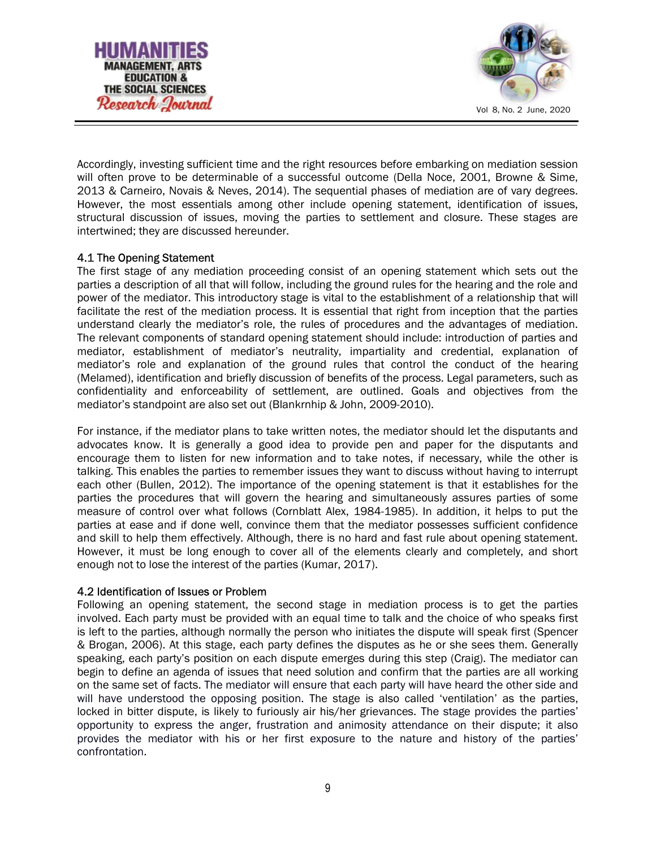



Accordingly, investing sufficient time and the right resources before embarking on mediation session will often prove to be determinable of a successful outcome (Della Noce, 2001, Browne & Sime, 2013 & Carneiro, Novais & Neves, 2014). The sequential phases of mediation are of vary degrees. However, the most essentials among other include opening statement, identification of issues, structural discussion of issues, moving the parties to settlement and closure. These stages are intertwined; they are discussed hereunder.

## 4.1 The Opening Statement

The first stage of any mediation proceeding consist of an opening statement which sets out the parties a description of all that will follow, including the ground rules for the hearing and the role and power of the mediator. This introductory stage is vital to the establishment of a relationship that will facilitate the rest of the mediation process. It is essential that right from inception that the parties understand clearly the mediator's role, the rules of procedures and the advantages of mediation. The relevant components of standard opening statement should include: introduction of parties and mediator, establishment of mediator's neutrality, impartiality and credential, explanation of mediator's role and explanation of the ground rules that control the conduct of the hearing (Melamed), identification and briefly discussion of benefits of the process. Legal parameters, such as confidentiality and enforceability of settlement, are outlined. Goals and objectives from the mediator's standpoint are also set out (Blankrnhip & John, 2009-2010).

For instance, if the mediator plans to take written notes, the mediator should let the disputants and advocates know. It is generally a good idea to provide pen and paper for the disputants and encourage them to listen for new information and to take notes, if necessary, while the other is talking. This enables the parties to remember issues they want to discuss without having to interrupt each other (Bullen, 2012). The importance of the opening statement is that it establishes for the parties the procedures that will govern the hearing and simultaneously assures parties of some measure of control over what follows (Cornblatt Alex, 1984-1985). In addition, it helps to put the parties at ease and if done well, convince them that the mediator possesses sufficient confidence and skill to help them effectively. Although, there is no hard and fast rule about opening statement. However, it must be long enough to cover all of the elements clearly and completely, and short enough not to lose the interest of the parties (Kumar, 2017).

#### 4.2 Identification of Issues or Problem

Following an opening statement, the second stage in mediation process is to get the parties involved. Each party must be provided with an equal time to talk and the choice of who speaks first is left to the parties, although normally the person who initiates the dispute will speak first (Spencer & Brogan, 2006). At this stage, each party defines the disputes as he or she sees them. Generally speaking, each party's position on each dispute emerges during this step (Craig). The mediator can begin to define an agenda of issues that need solution and confirm that the parties are all working on the same set of facts. The mediator will ensure that each party will have heard the other side and will have understood the opposing position. The stage is also called 'ventilation' as the parties, locked in bitter dispute, is likely to furiously air his/her grievances. The stage provides the parties' opportunity to express the anger, frustration and animosity attendance on their dispute; it also provides the mediator with his or her first exposure to the nature and history of the parties' confrontation.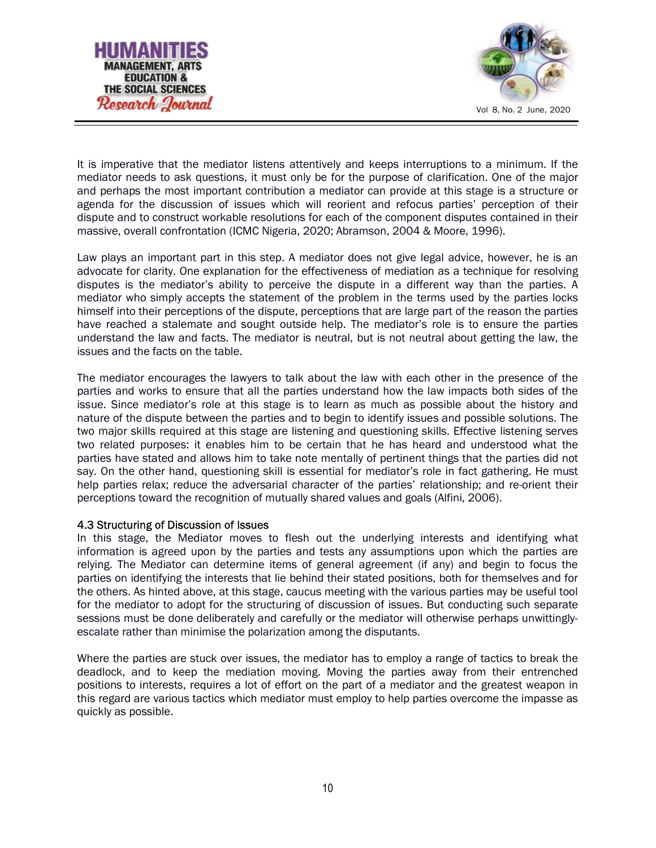



It is imperative that the mediator listens attentively and keeps interruptions to a minimum. If the mediator needs to ask questions, it must only be for the purpose of clarification. One of the major and perhaps the most important contribution a mediator can provide at this stage is a structure or agenda for the discussion of issues which will reorient and refocus parties' perception of their dispute and to construct workable resolutions for each of the component disputes contained in their massive, overall confrontation (ICMC Nigeria, 2020; Abramson, 2004 & Moore, 1996).

Law plays an important part in this step. A mediator does not give legal advice, however, he is an advocate for clarity. One explanation for the effectiveness of mediation as a technique for resolving disputes is the mediator's ability to perceive the dispute in a different way than the parties. A mediator who simply accepts the statement of the problem in the terms used by the parties locks himself into their perceptions of the dispute, perceptions that are large part of the reason the parties have reached a stalemate and sought outside help. The mediator's role is to ensure the parties understand the law and facts. The mediator is neutral, but is not neutral about getting the law, the issues and the facts on the table.

The mediator encourages the lawyers to talk about the law with each other in the presence of the parties and works to ensure that all the parties understand how the law impacts both sides of the issue. Since mediator's role at this stage is to learn as much as possible about the history and nature of the dispute between the parties and to begin to identify issues and possible solutions. The two major skills required at this stage are listening and questioning skills. Effective listening serves two related purposes: it enables him to be certain that he has heard and understood what the parties have stated and allows him to take note mentally of pertinent things that the parties did not say. On the other hand, questioning skill is essential for mediator's role in fact gathering. He must help parties relax; reduce the adversarial character of the parties' relationship; and re-orient their perceptions toward the recognition of mutually shared values and goals (Alfini, 2006).

#### 4.3 Structuring of Discussion of Issues

In this stage, the Mediator moves to flesh out the underlying interests and identifying what information is agreed upon by the parties and tests any assumptions upon which the parties are relying. The Mediator can determine items of general agreement (if any) and begin to focus the parties on identifying the interests that lie behind their stated positions, both for themselves and for the others. As hinted above, at this stage, caucus meeting with the various parties may be useful tool for the mediator to adopt for the structuring of discussion of issues. But conducting such separate sessions must be done deliberately and carefully or the mediator will otherwise perhaps unwittinglyescalate rather than minimise the polarization among the disputants.

Where the parties are stuck over issues, the mediator has to employ a range of tactics to break the deadlock, and to keep the mediation moving. Moving the parties away from their entrenched positions to interests, requires a lot of effort on the part of a mediator and the greatest weapon in this regard are various tactics which mediator must employ to help parties overcome the impasse as quickly as possible.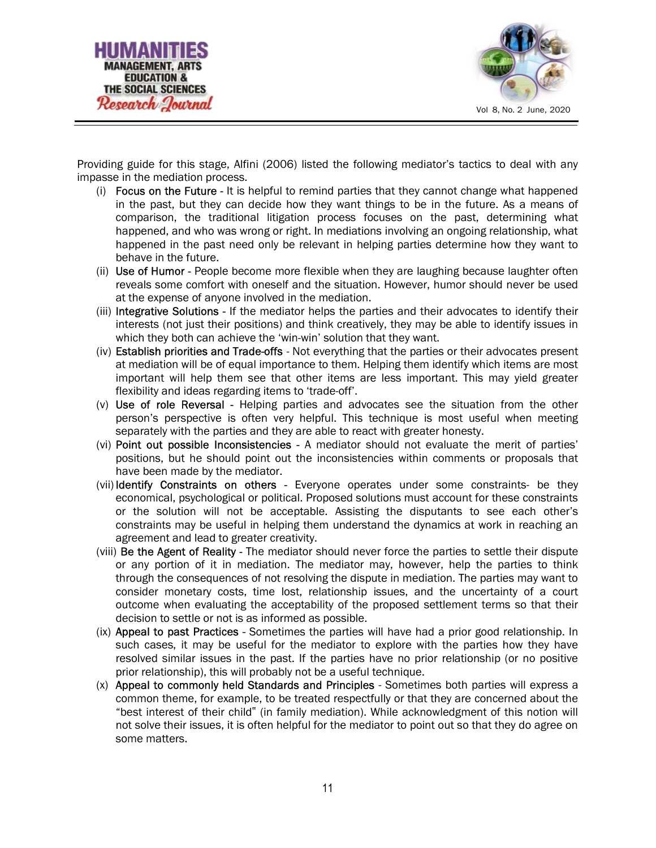



Providing guide for this stage, Alfini (2006) listed the following mediator's tactics to deal with any impasse in the mediation process.

- (i) Focus on the Future It is helpful to remind parties that they cannot change what happened in the past, but they can decide how they want things to be in the future. As a means of comparison, the traditional litigation process focuses on the past, determining what happened, and who was wrong or right. In mediations involving an ongoing relationship, what happened in the past need only be relevant in helping parties determine how they want to behave in the future.
- (ii) Use of Humor People become more flexible when they are laughing because laughter often reveals some comfort with oneself and the situation. However, humor should never be used at the expense of anyone involved in the mediation.
- (iii) Integrative Solutions If the mediator helps the parties and their advocates to identify their interests (not just their positions) and think creatively, they may be able to identify issues in which they both can achieve the 'win-win' solution that they want.
- (iv) Establish priorities and Trade-offs Not everything that the parties or their advocates present at mediation will be of equal importance to them. Helping them identify which items are most important will help them see that other items are less important. This may yield greater flexibility and ideas regarding items to 'trade-off'.
- $(v)$  Use of role Reversal Helping parties and advocates see the situation from the other person's perspective is often very helpful. This technique is most useful when meeting separately with the parties and they are able to react with greater honesty.
- (vi) Point out possible Inconsistencies A mediator should not evaluate the merit of parties' positions, but he should point out the inconsistencies within comments or proposals that have been made by the mediator.
- (vii) Identify Constraints on others Everyone operates under some constraints- be they economical, psychological or political. Proposed solutions must account for these constraints or the solution will not be acceptable. Assisting the disputants to see each other's constraints may be useful in helping them understand the dynamics at work in reaching an agreement and lead to greater creativity.
- (viii) Be the Agent of Reality The mediator should never force the parties to settle their dispute or any portion of it in mediation. The mediator may, however, help the parties to think through the consequences of not resolving the dispute in mediation. The parties may want to consider monetary costs, time lost, relationship issues, and the uncertainty of a court outcome when evaluating the acceptability of the proposed settlement terms so that their decision to settle or not is as informed as possible.
- (ix) Appeal to past Practices Sometimes the parties will have had a prior good relationship. In such cases, it may be useful for the mediator to explore with the parties how they have resolved similar issues in the past. If the parties have no prior relationship (or no positive prior relationship), this will probably not be a useful technique.
- (x) Appeal to commonly held Standards and Principles Sometimes both parties will express a common theme, for example, to be treated respectfully or that they are concerned about the "best interest of their child" (in family mediation). While acknowledgment of this notion will not solve their issues, it is often helpful for the mediator to point out so that they do agree on some matters.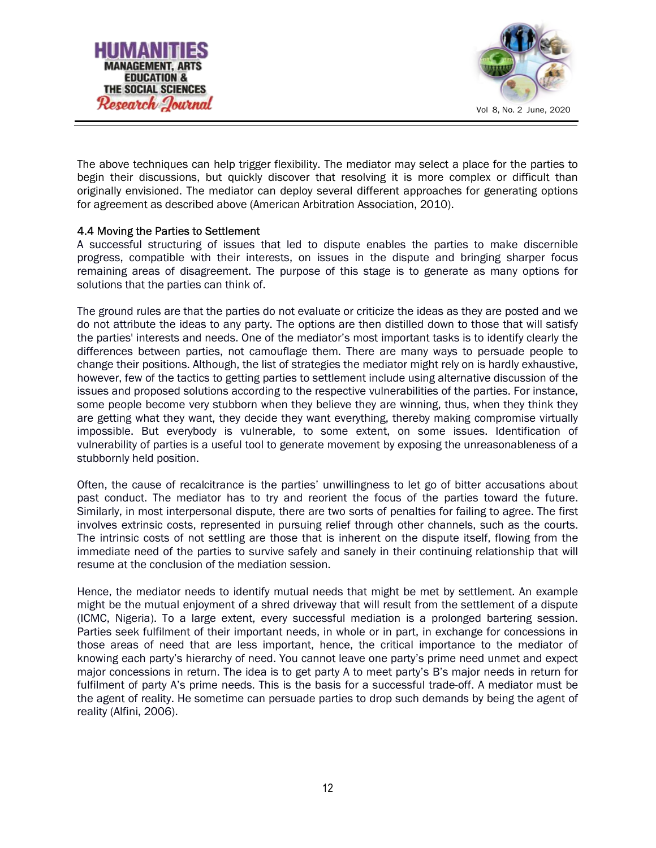



The above techniques can help trigger flexibility. The mediator may select a place for the parties to begin their discussions, but quickly discover that resolving it is more complex or difficult than originally envisioned. The mediator can deploy several different approaches for generating options for agreement as described above (American Arbitration Association, 2010).

## 4.4 Moving the Parties to Settlement

A successful structuring of issues that led to dispute enables the parties to make discernible progress, compatible with their interests, on issues in the dispute and bringing sharper focus remaining areas of disagreement. The purpose of this stage is to generate as many options for solutions that the parties can think of.

The ground rules are that the parties do not evaluate or criticize the ideas as they are posted and we do not attribute the ideas to any party. The options are then distilled down to those that will satisfy the parties' interests and needs. One of the mediator's most important tasks is to identify clearly the differences between parties, not camouflage them. There are many ways to persuade people to change their positions. Although, the list of strategies the mediator might rely on is hardly exhaustive, however, few of the tactics to getting parties to settlement include using alternative discussion of the issues and proposed solutions according to the respective vulnerabilities of the parties. For instance, some people become very stubborn when they believe they are winning, thus, when they think they are getting what they want, they decide they want everything, thereby making compromise virtually impossible. But everybody is vulnerable, to some extent, on some issues. Identification of vulnerability of parties is a useful tool to generate movement by exposing the unreasonableness of a stubbornly held position.

Often, the cause of recalcitrance is the parties' unwillingness to let go of bitter accusations about past conduct. The mediator has to try and reorient the focus of the parties toward the future. Similarly, in most interpersonal dispute, there are two sorts of penalties for failing to agree. The first involves extrinsic costs, represented in pursuing relief through other channels, such as the courts. The intrinsic costs of not settling are those that is inherent on the dispute itself, flowing from the immediate need of the parties to survive safely and sanely in their continuing relationship that will resume at the conclusion of the mediation session.

Hence, the mediator needs to identify mutual needs that might be met by settlement. An example might be the mutual enjoyment of a shred driveway that will result from the settlement of a dispute (ICMC, Nigeria). To a large extent, every successful mediation is a prolonged bartering session. Parties seek fulfilment of their important needs, in whole or in part, in exchange for concessions in those areas of need that are less important, hence, the critical importance to the mediator of knowing each party's hierarchy of need. You cannot leave one party's prime need unmet and expect major concessions in return. The idea is to get party A to meet party's B's major needs in return for fulfilment of party A's prime needs. This is the basis for a successful trade-off. A mediator must be the agent of reality. He sometime can persuade parties to drop such demands by being the agent of reality (Alfini, 2006).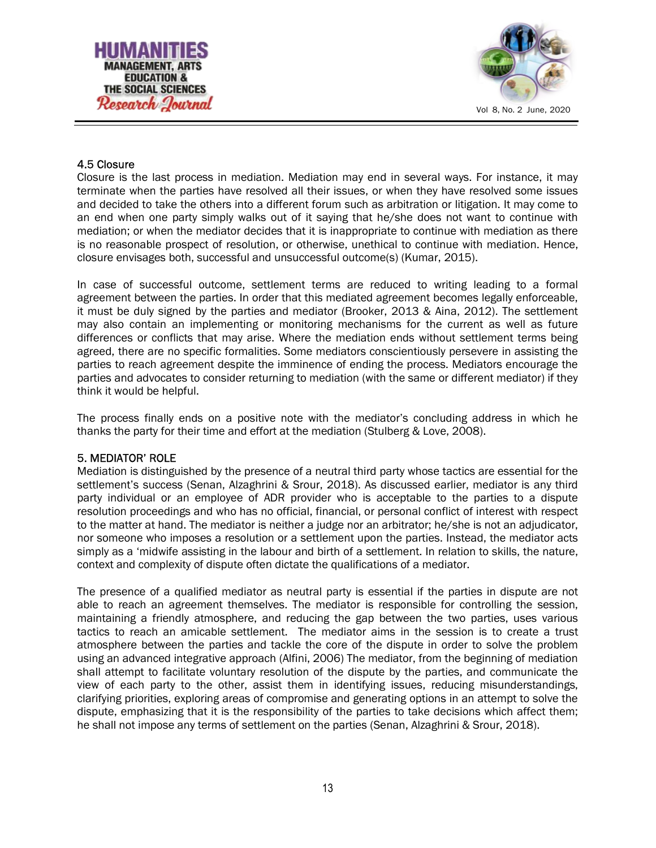



## 4.5 Closure

Closure is the last process in mediation. Mediation may end in several ways. For instance, it may terminate when the parties have resolved all their issues, or when they have resolved some issues and decided to take the others into a different forum such as arbitration or litigation. It may come to an end when one party simply walks out of it saying that he/she does not want to continue with mediation; or when the mediator decides that it is inappropriate to continue with mediation as there is no reasonable prospect of resolution, or otherwise, unethical to continue with mediation. Hence, closure envisages both, successful and unsuccessful outcome(s) (Kumar, 2015).

In case of successful outcome, settlement terms are reduced to writing leading to a formal agreement between the parties. In order that this mediated agreement becomes legally enforceable, it must be duly signed by the parties and mediator (Brooker, 2013 & Aina, 2012). The settlement may also contain an implementing or monitoring mechanisms for the current as well as future differences or conflicts that may arise. Where the mediation ends without settlement terms being agreed, there are no specific formalities. Some mediators conscientiously persevere in assisting the parties to reach agreement despite the imminence of ending the process. Mediators encourage the parties and advocates to consider returning to mediation (with the same or different mediator) if they think it would be helpful.

The process finally ends on a positive note with the mediator's concluding address in which he thanks the party for their time and effort at the mediation (Stulberg & Love, 2008).

#### 5. MEDIATOR' ROLE

Mediation is distinguished by the presence of a neutral third party whose tactics are essential for the settlement's success (Senan, Alzaghrini & Srour, 2018). As discussed earlier, mediator is any third party individual or an employee of ADR provider who is acceptable to the parties to a dispute resolution proceedings and who has no official, financial, or personal conflict of interest with respect to the matter at hand. The mediator is neither a judge nor an arbitrator; he/she is not an adjudicator, nor someone who imposes a resolution or a settlement upon the parties. Instead, the mediator acts simply as a 'midwife assisting in the labour and birth of a settlement. In relation to skills, the nature, context and complexity of dispute often dictate the qualifications of a mediator.

The presence of a qualified mediator as neutral party is essential if the parties in dispute are not able to reach an agreement themselves. The mediator is responsible for controlling the session, maintaining a friendly atmosphere, and reducing the gap between the two parties, uses various tactics to reach an amicable settlement. The mediator aims in the session is to create a trust atmosphere between the parties and tackle the core of the dispute in order to solve the problem using an advanced integrative approach (Alfini, 2006) The mediator, from the beginning of mediation shall attempt to facilitate voluntary resolution of the dispute by the parties, and communicate the view of each party to the other, assist them in identifying issues, reducing misunderstandings, clarifying priorities, exploring areas of compromise and generating options in an attempt to solve the dispute, emphasizing that it is the responsibility of the parties to take decisions which affect them; he shall not impose any terms of settlement on the parties (Senan, Alzaghrini & Srour, 2018).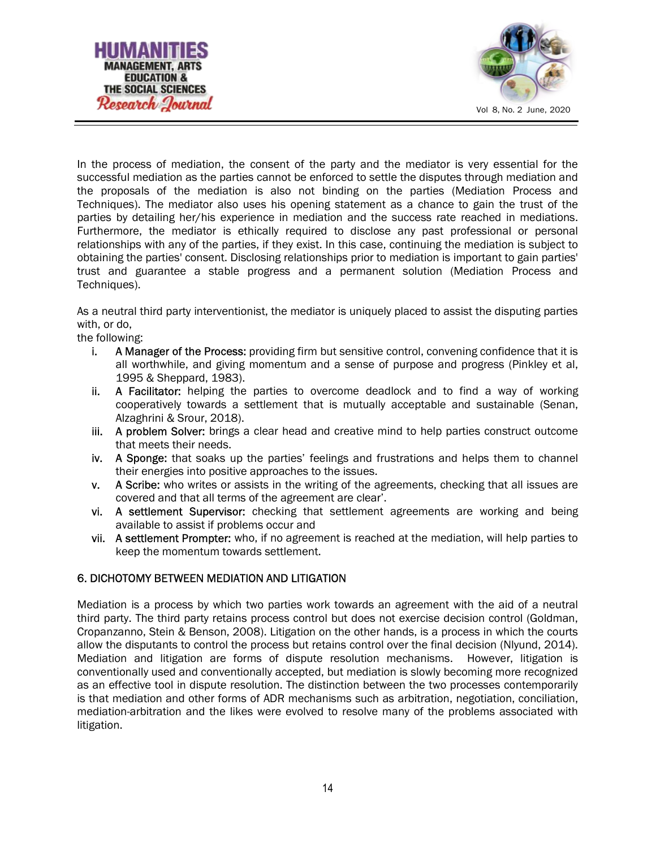



In the process of mediation, the consent of the party and the mediator is very essential for the successful mediation as the parties cannot be enforced to settle the disputes through mediation and the proposals of the mediation is also not binding on the parties (Mediation Process and Techniques). The mediator also uses his opening statement as a chance to gain the trust of the parties by detailing her/his experience in mediation and the success rate reached in mediations. Furthermore, the mediator is ethically required to disclose any past professional or personal relationships with any of the parties, if they exist. In this case, continuing the mediation is subject to obtaining the parties' consent. Disclosing relationships prior to mediation is important to gain parties' trust and guarantee a stable progress and a permanent solution (Mediation Process and Techniques).

As a neutral third party interventionist, the mediator is uniquely placed to assist the disputing parties with, or do,

the following:

- i. A Manager of the Process: providing firm but sensitive control, convening confidence that it is all worthwhile, and giving momentum and a sense of purpose and progress (Pinkley et al, 1995 & Sheppard, 1983).
- ii. A Facilitator: helping the parties to overcome deadlock and to find a way of working cooperatively towards a settlement that is mutually acceptable and sustainable (Senan, Alzaghrini & Srour, 2018).
- iii. A problem Solver: brings a clear head and creative mind to help parties construct outcome that meets their needs.
- iv. A Sponge: that soaks up the parties' feelings and frustrations and helps them to channel their energies into positive approaches to the issues.
- v. A Scribe: who writes or assists in the writing of the agreements, checking that all issues are covered and that all terms of the agreement are clear'.
- vi. A settlement Supervisor: checking that settlement agreements are working and being available to assist if problems occur and
- vii. A settlement Prompter: who, if no agreement is reached at the mediation, will help parties to keep the momentum towards settlement.

# 6. DICHOTOMY BETWEEN MEDIATION AND LITIGATION

Mediation is a process by which two parties work towards an agreement with the aid of a neutral third party. The third party retains process control but does not exercise decision control (Goldman, Cropanzanno, Stein & Benson, 2008). Litigation on the other hands, is a process in which the courts allow the disputants to control the process but retains control over the final decision (Nlyund, 2014). Mediation and litigation are forms of dispute resolution mechanisms. However, litigation is conventionally used and conventionally accepted, but mediation is slowly becoming more recognized as an effective tool in dispute resolution. The distinction between the two processes contemporarily is that mediation and other forms of ADR mechanisms such as arbitration, negotiation, conciliation, mediation-arbitration and the likes were evolved to resolve many of the problems associated with litigation.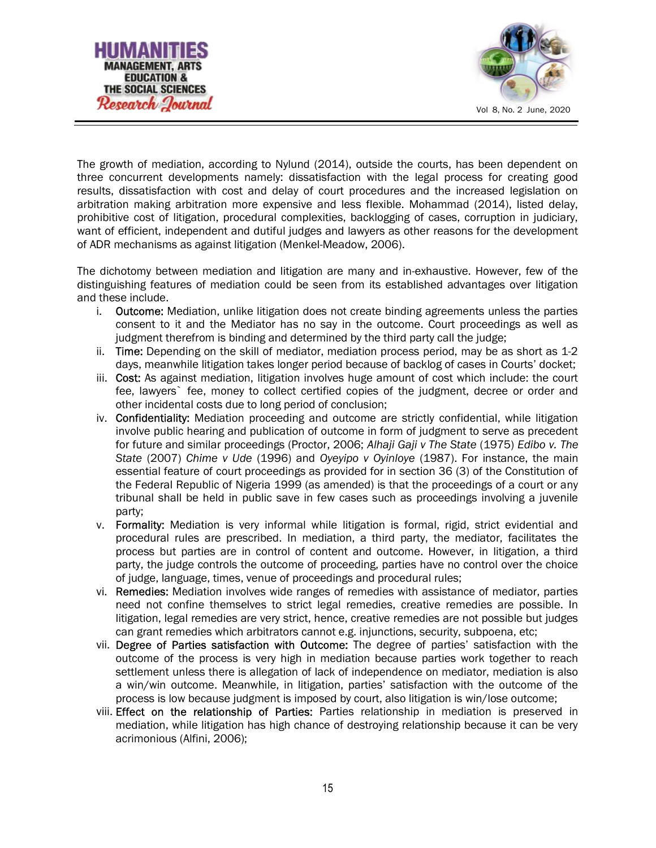



The growth of mediation, according to Nylund (2014), outside the courts, has been dependent on three concurrent developments namely: dissatisfaction with the legal process for creating good results, dissatisfaction with cost and delay of court procedures and the increased legislation on arbitration making arbitration more expensive and less flexible. Mohammad (2014), listed delay, prohibitive cost of litigation, procedural complexities, backlogging of cases, corruption in judiciary, want of efficient, independent and dutiful judges and lawyers as other reasons for the development of ADR mechanisms as against litigation (Menkel-Meadow, 2006).

The dichotomy between mediation and litigation are many and in-exhaustive. However, few of the distinguishing features of mediation could be seen from its established advantages over litigation and these include.

- i. **Outcome:** Mediation, unlike litigation does not create binding agreements unless the parties consent to it and the Mediator has no say in the outcome. Court proceedings as well as judgment therefrom is binding and determined by the third party call the judge;
- ii. Time: Depending on the skill of mediator, mediation process period, may be as short as 1-2 days, meanwhile litigation takes longer period because of backlog of cases in Courts' docket;
- iii. Cost: As against mediation, litigation involves huge amount of cost which include: the court fee, lawyers` fee, money to collect certified copies of the judgment, decree or order and other incidental costs due to long period of conclusion;
- iv. Confidentiality: Mediation proceeding and outcome are strictly confidential, while litigation involve public hearing and publication of outcome in form of judgment to serve as precedent for future and similar proceedings (Proctor, 2006; Alhaji Gaji v The State (1975) Edibo v. The State (2007) Chime v Ude (1996) and Oyeyipo v Oyinloye (1987). For instance, the main essential feature of court proceedings as provided for in section 36 (3) of the Constitution of the Federal Republic of Nigeria 1999 (as amended) is that the proceedings of a court or any tribunal shall be held in public save in few cases such as proceedings involving a juvenile party;
- v. Formality: Mediation is very informal while litigation is formal, rigid, strict evidential and procedural rules are prescribed. In mediation, a third party, the mediator, facilitates the process but parties are in control of content and outcome. However, in litigation, a third party, the judge controls the outcome of proceeding, parties have no control over the choice of judge, language, times, venue of proceedings and procedural rules;
- vi. Remedies: Mediation involves wide ranges of remedies with assistance of mediator, parties need not confine themselves to strict legal remedies, creative remedies are possible. In litigation, legal remedies are very strict, hence, creative remedies are not possible but judges can grant remedies which arbitrators cannot e.g. injunctions, security, subpoena, etc;
- vii. Degree of Parties satisfaction with Outcome: The degree of parties' satisfaction with the outcome of the process is very high in mediation because parties work together to reach settlement unless there is allegation of lack of independence on mediator, mediation is also a win/win outcome. Meanwhile, in litigation, parties' satisfaction with the outcome of the process is low because judgment is imposed by court, also litigation is win/lose outcome;
- viii. Effect on the relationship of Parties: Parties relationship in mediation is preserved in mediation, while litigation has high chance of destroying relationship because it can be very acrimonious (Alfini, 2006);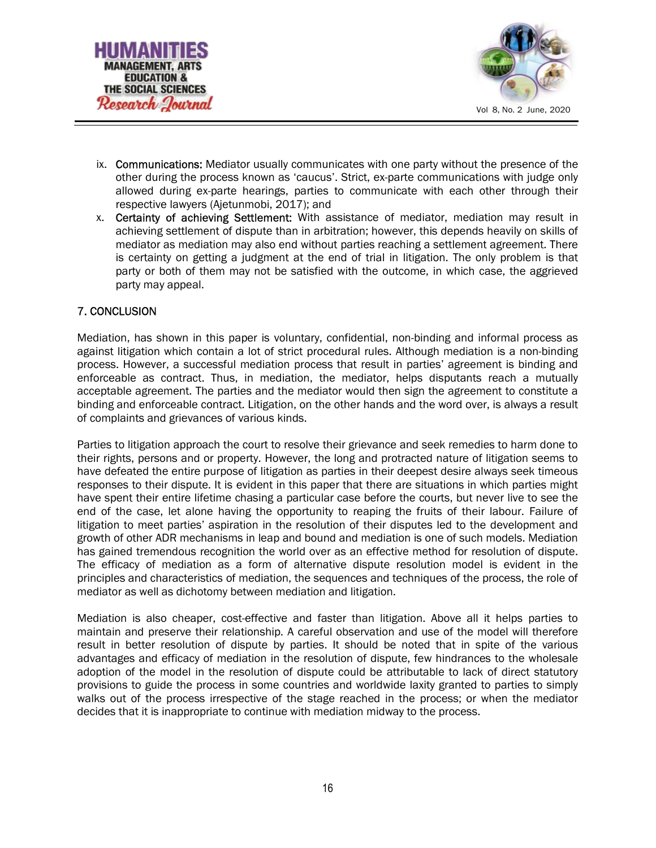



- ix. Communications: Mediator usually communicates with one party without the presence of the other during the process known as 'caucus'. Strict, ex-parte communications with judge only allowed during ex-parte hearings, parties to communicate with each other through their respective lawyers (Ajetunmobi, 2017); and
- x. Certainty of achieving Settlement: With assistance of mediator, mediation may result in achieving settlement of dispute than in arbitration; however, this depends heavily on skills of mediator as mediation may also end without parties reaching a settlement agreement. There is certainty on getting a judgment at the end of trial in litigation. The only problem is that party or both of them may not be satisfied with the outcome, in which case, the aggrieved party may appeal.

# 7. CONCLUSION

Mediation, has shown in this paper is voluntary, confidential, non-binding and informal process as against litigation which contain a lot of strict procedural rules. Although mediation is a non-binding process. However, a successful mediation process that result in parties' agreement is binding and enforceable as contract. Thus, in mediation, the mediator, helps disputants reach a mutually acceptable agreement. The parties and the mediator would then sign the agreement to constitute a binding and enforceable contract. Litigation, on the other hands and the word over, is always a result of complaints and grievances of various kinds.

Parties to litigation approach the court to resolve their grievance and seek remedies to harm done to their rights, persons and or property. However, the long and protracted nature of litigation seems to have defeated the entire purpose of litigation as parties in their deepest desire always seek timeous responses to their dispute. It is evident in this paper that there are situations in which parties might have spent their entire lifetime chasing a particular case before the courts, but never live to see the end of the case, let alone having the opportunity to reaping the fruits of their labour. Failure of litigation to meet parties' aspiration in the resolution of their disputes led to the development and growth of other ADR mechanisms in leap and bound and mediation is one of such models. Mediation has gained tremendous recognition the world over as an effective method for resolution of dispute. The efficacy of mediation as a form of alternative dispute resolution model is evident in the principles and characteristics of mediation, the sequences and techniques of the process, the role of mediator as well as dichotomy between mediation and litigation.

Mediation is also cheaper, cost-effective and faster than litigation. Above all it helps parties to maintain and preserve their relationship. A careful observation and use of the model will therefore result in better resolution of dispute by parties. It should be noted that in spite of the various advantages and efficacy of mediation in the resolution of dispute, few hindrances to the wholesale adoption of the model in the resolution of dispute could be attributable to lack of direct statutory provisions to guide the process in some countries and worldwide laxity granted to parties to simply walks out of the process irrespective of the stage reached in the process; or when the mediator decides that it is inappropriate to continue with mediation midway to the process.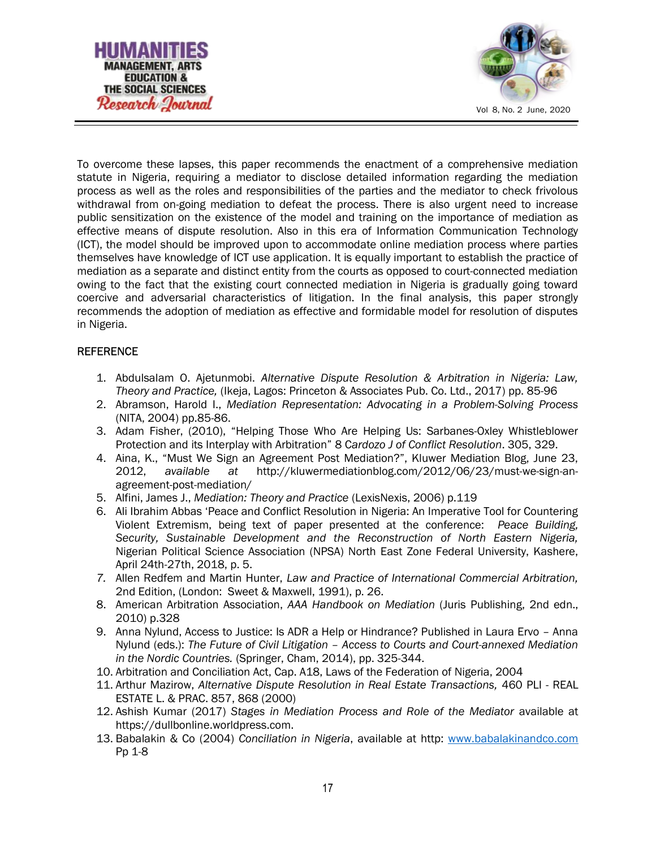



To overcome these lapses, this paper recommends the enactment of a comprehensive mediation statute in Nigeria, requiring a mediator to disclose detailed information regarding the mediation process as well as the roles and responsibilities of the parties and the mediator to check frivolous withdrawal from on-going mediation to defeat the process. There is also urgent need to increase public sensitization on the existence of the model and training on the importance of mediation as effective means of dispute resolution. Also in this era of Information Communication Technology (ICT), the model should be improved upon to accommodate online mediation process where parties themselves have knowledge of ICT use application. It is equally important to establish the practice of mediation as a separate and distinct entity from the courts as opposed to court-connected mediation owing to the fact that the existing court connected mediation in Nigeria is gradually going toward coercive and adversarial characteristics of litigation. In the final analysis, this paper strongly recommends the adoption of mediation as effective and formidable model for resolution of disputes in Nigeria.

# **REFERENCE**

- 1. Abdulsalam O. Ajetunmobi. Alternative Dispute Resolution & Arbitration in Nigeria: Law, Theory and Practice, (Ikeja, Lagos: Princeton & Associates Pub. Co. Ltd., 2017) pp. 85-96
- 2. Abramson, Harold I., Mediation Representation: Advocating in a Problem-Solving Process (NITA, 2004) pp.85-86.
- 3. Adam Fisher, (2010), "Helping Those Who Are Helping Us: Sarbanes-Oxley Whistleblower Protection and its Interplay with Arbitration" 8 Cardozo J of Conflict Resolution. 305, 329.
- 4. Aina, K., "Must We Sign an Agreement Post Mediation?", Kluwer Mediation Blog, June 23, 2012, available at http://kluwermediationblog.com/2012/06/23/must-we-sign-anagreement-post-mediation/
- 5. Alfini, James J., Mediation: Theory and Practice (LexisNexis, 2006) p.119
- 6. Ali Ibrahim Abbas 'Peace and Conflict Resolution in Nigeria: An Imperative Tool for Countering Violent Extremism, being text of paper presented at the conference: Peace Building, Security, Sustainable Development and the Reconstruction of North Eastern Nigeria, Nigerian Political Science Association (NPSA) North East Zone Federal University, Kashere, April 24th-27th, 2018, p. 5.
- 7. Allen Redfem and Martin Hunter, Law and Practice of International Commercial Arbitration, 2nd Edition, (London: Sweet & Maxwell, 1991), p. 26.
- 8. American Arbitration Association, AAA Handbook on Mediation (Juris Publishing, 2nd edn., 2010) p.328
- 9. Anna Nylund, Access to Justice: Is ADR a Help or Hindrance? Published in Laura Ervo Anna Nylund (eds.): The Future of Civil Litigation – Access to Courts and Court-annexed Mediation in the Nordic Countries. (Springer, Cham, 2014), pp. 325-344.
- 10. Arbitration and Conciliation Act, Cap. A18, Laws of the Federation of Nigeria, 2004
- 11. Arthur Mazirow, Alternative Dispute Resolution in Real Estate Transactions, 460 PLI REAL ESTATE L. & PRAC. 857, 868 (2000)
- 12. Ashish Kumar (2017) Stages in Mediation Process and Role of the Mediator available at https://dullbonline.worldpress.com.
- 13. Babalakin & Co (2004) Conciliation in Nigeria, available at http: www.babalakinandco.com Pp 1-8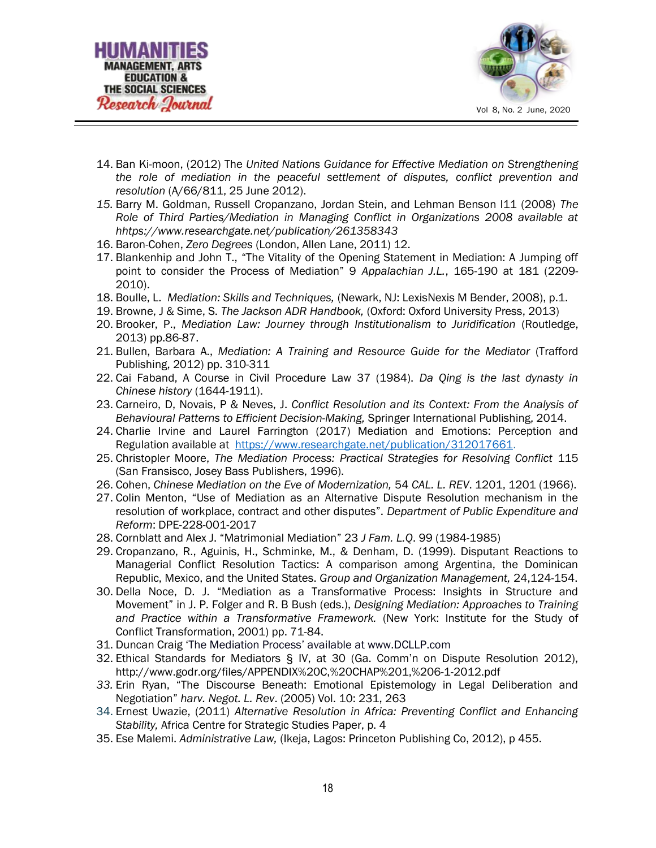



- 14. Ban Ki-moon, (2012) The United Nations Guidance for Effective Mediation on Strengthening the role of mediation in the peaceful settlement of disputes, conflict prevention and resolution (A/66/811, 25 June 2012).
- 15. Barry M. Goldman, Russell Cropanzano, Jordan Stein, and Lehman Benson I11 (2008) The Role of Third Parties/Mediation in Managing Conflict in Organizations 2008 available at hhtps://www.researchgate.net/publication/261358343
- 16. Baron-Cohen, Zero Degrees (London, Allen Lane, 2011) 12.
- 17. Blankenhip and John T., "The Vitality of the Opening Statement in Mediation: A Jumping off point to consider the Process of Mediation" 9 Appalachian J.L., 165-190 at 181 (2209- 2010).
- 18. Boulle, L. Mediation: Skills and Techniques, (Newark, NJ: LexisNexis M Bender, 2008), p.1.
- 19. Browne, J & Sime, S. The Jackson ADR Handbook, (Oxford: Oxford University Press, 2013)
- 20. Brooker, P., Mediation Law: Journey through Institutionalism to Juridification (Routledge, 2013) pp.86-87.
- 21. Bullen, Barbara A., Mediation: A Training and Resource Guide for the Mediator (Trafford Publishing, 2012) pp. 310-311
- 22. Cai Faband, A Course in Civil Procedure Law 37 (1984). Da Qing is the last dynasty in Chinese history (1644-1911).
- 23. Carneiro, D, Novais, P & Neves, J. Conflict Resolution and its Context: From the Analysis of Behavioural Patterns to Efficient Decision-Making, Springer International Publishing, 2014.
- 24. Charlie Irvine and Laurel Farrington (2017) Mediation and Emotions: Perception and Regulation available at https://www.researchgate.net/publication/312017661.
- 25. Christopler Moore, The Mediation Process: Practical Strategies for Resolving Conflict 115 (San Fransisco, Josey Bass Publishers, 1996).
- 26. Cohen, Chinese Mediation on the Eve of Modernization, 54 CAL. L. REV. 1201, 1201 (1966).
- 27. Colin Menton, "Use of Mediation as an Alternative Dispute Resolution mechanism in the resolution of workplace, contract and other disputes". Department of Public Expenditure and Reform: DPE-228-001-2017
- 28. Cornblatt and Alex J. "Matrimonial Mediation" 23 J Fam. L.Q. 99 (1984-1985)
- 29. Cropanzano, R., Aguinis, H., Schminke, M., & Denham, D. (1999). Disputant Reactions to Managerial Conflict Resolution Tactics: A comparison among Argentina, the Dominican Republic, Mexico, and the United States. Group and Organization Management, 24,124-154.
- 30. Della Noce, D. J. "Mediation as a Transformative Process: Insights in Structure and Movement" in J. P. Folger and R. B Bush (eds.), Designing Mediation: Approaches to Training and Practice within a Transformative Framework. (New York: Institute for the Study of Conflict Transformation, 2001) pp. 71-84.
- 31. Duncan Craig 'The Mediation Process' available at www.DCLLP.com
- 32. Ethical Standards for Mediators § IV, at 30 (Ga. Comm'n on Dispute Resolution 2012), http://www.godr.org/files/APPENDIX%20C,%20CHAP%201,%206-1-2012.pdf
- 33. Erin Ryan, "The Discourse Beneath: Emotional Epistemology in Legal Deliberation and Negotiation" harv. Negot. L. Rev. (2005) Vol. 10: 231, 263
- 34. Ernest Uwazie, (2011) Alternative Resolution in Africa: Preventing Conflict and Enhancing Stability, Africa Centre for Strategic Studies Paper, p. 4
- 35. Ese Malemi. Administrative Law, (Ikeja, Lagos: Princeton Publishing Co, 2012), p 455.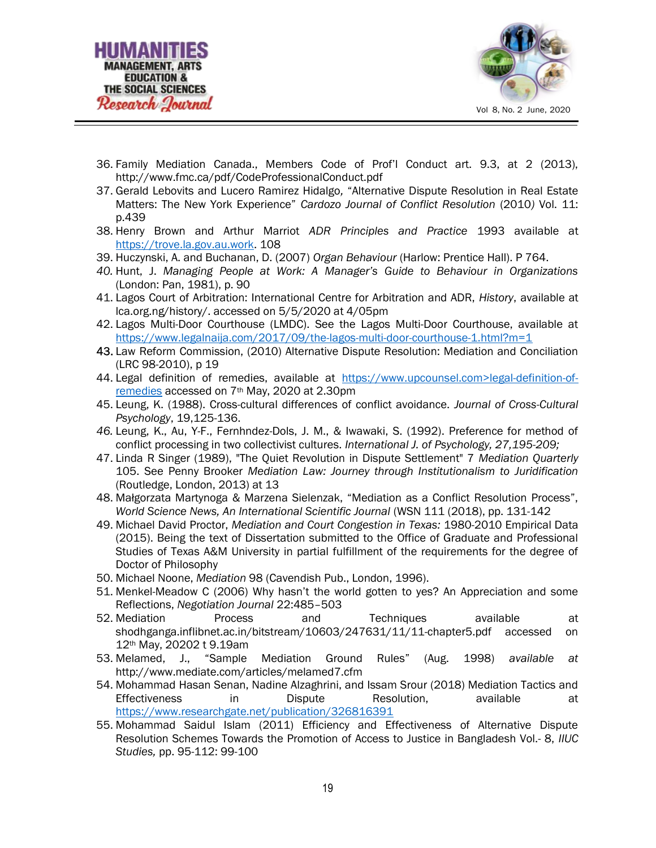



- 36. Family Mediation Canada., Members Code of Prof'l Conduct art. 9.3, at 2 (2013), http://www.fmc.ca/pdf/CodeProfessionalConduct.pdf
- 37. Gerald Lebovits and Lucero Ramirez Hidalgo, "Alternative Dispute Resolution in Real Estate Matters: The New York Experience" Cardozo Journal of Conflict Resolution (2010) Vol. 11: p.439
- 38. Henry Brown and Arthur Marriot ADR Principles and Practice 1993 available at https://trove.la.gov.au.work. 108
- 39. Huczynski, A. and Buchanan, D. (2007) Organ Behaviour (Harlow: Prentice Hall). P 764.
- 40. Hunt, J. Managing People at Work: A Manager's Guide to Behaviour in Organizations (London: Pan, 1981), p. 90
- 41. Lagos Court of Arbitration: International Centre for Arbitration and ADR, History, available at lca.org.ng/history/. accessed on 5/5/2020 at 4/05pm
- 42. Lagos Multi-Door Courthouse (LMDC). See the Lagos Multi-Door Courthouse, available at https://www.legalnaija.com/2017/09/the-lagos-multi-door-courthouse-1.html?m=1
- 43. Law Reform Commission, (2010) Alternative Dispute Resolution: Mediation and Conciliation (LRC 98-2010), p 19
- 44. Legal definition of remedies, available at https://www.upcounsel.com>legal-definition-ofremedies accessed on 7th May, 2020 at 2.30pm
- 45. Leung, K. (1988). Cross-cultural differences of conflict avoidance. Journal of Cross-Cultural Psychology, 19,125-136.
- 46. Leung, K., Au, Y-F., Fernhndez-Dols, J. M., & Iwawaki, S. (1992). Preference for method of conflict processing in two collectivist cultures. International J. of Psychology, 27,195-209;
- 47. Linda R Singer (1989), "The Quiet Revolution in Dispute Settlement" 7 Mediation Quarterly 105. See Penny Brooker Mediation Law: Journey through Institutionalism to Juridification (Routledge, London, 2013) at 13
- 48. Małgorzata Martynoga & Marzena Sielenzak, "Mediation as a Conflict Resolution Process", World Science News, An International Scientific Journal (WSN 111 (2018), pp. 131-142
- 49. Michael David Proctor, Mediation and Court Congestion in Texas: 1980-2010 Empirical Data (2015). Being the text of Dissertation submitted to the Office of Graduate and Professional Studies of Texas A&M University in partial fulfillment of the requirements for the degree of Doctor of Philosophy
- 50. Michael Noone, Mediation 98 (Cavendish Pub., London, 1996).
- 51. Menkel-Meadow C (2006) Why hasn't the world gotten to yes? An Appreciation and some Reflections, Negotiation Journal 22:485–503
- 52. Mediation Process and Techniques available at shodhganga.inflibnet.ac.in/bitstream/10603/247631/11/11-chapter5.pdf accessed on 12th May, 20202 t 9.19am
- 53. Melamed, J., "Sample Mediation Ground Rules" (Aug. 1998) available at http://www.mediate.com/articles/melamed7.cfm
- 54. Mohammad Hasan Senan, Nadine Alzaghrini, and Issam Srour (2018) Mediation Tactics and Effectiveness in Dispute Resolution, available at https://www.researchgate.net/publication/326816391
- 55. Mohammad Saidul Islam (2011) Efficiency and Effectiveness of Alternative Dispute Resolution Schemes Towards the Promotion of Access to Justice in Bangladesh Vol.- 8, IIUC Studies, pp. 95-112: 99-100